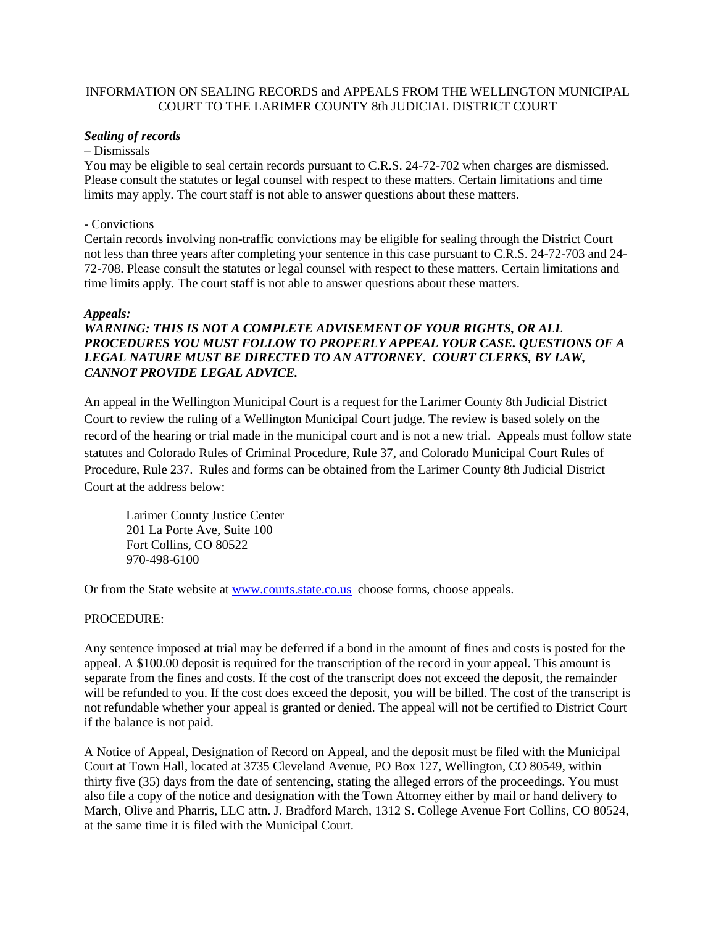# INFORMATION ON SEALING RECORDS and APPEALS FROM THE WELLINGTON MUNICIPAL COURT TO THE LARIMER COUNTY 8th JUDICIAL DISTRICT COURT

## *Sealing of records*

#### – Dismissals

You may be eligible to seal certain records pursuant to C.R.S. 24-72-702 when charges are dismissed. Please consult the statutes or legal counsel with respect to these matters. Certain limitations and time limits may apply. The court staff is not able to answer questions about these matters.

#### - Convictions

Certain records involving non-traffic convictions may be eligible for sealing through the District Court not less than three years after completing your sentence in this case pursuant to C.R.S. 24-72-703 and 24- 72-708. Please consult the statutes or legal counsel with respect to these matters. Certain limitations and time limits apply. The court staff is not able to answer questions about these matters.

#### *Appeals:*

# *WARNING: THIS IS NOT A COMPLETE ADVISEMENT OF YOUR RIGHTS, OR ALL PROCEDURES YOU MUST FOLLOW TO PROPERLY APPEAL YOUR CASE. QUESTIONS OF A LEGAL NATURE MUST BE DIRECTED TO AN ATTORNEY***.** *COURT CLERKS, BY LAW, CANNOT PROVIDE LEGAL ADVICE.*

An appeal in the Wellington Municipal Court is a request for the Larimer County 8th Judicial District Court to review the ruling of a Wellington Municipal Court judge. The review is based solely on the record of the hearing or trial made in the municipal court and is not a new trial. Appeals must follow state statutes and Colorado Rules of Criminal Procedure, Rule 37, and Colorado Municipal Court Rules of Procedure, Rule 237. Rules and forms can be obtained from the Larimer County 8th Judicial District Court at the address below:

 Larimer County Justice Center 201 La Porte Ave, Suite 100 Fort Collins, CO 80522 970-498-6100

Or from the State website at **www.courts.state.co.us** choose forms, choose appeals.

## PROCEDURE:

Any sentence imposed at trial may be deferred if a bond in the amount of fines and costs is posted for the appeal. A \$100.00 deposit is required for the transcription of the record in your appeal. This amount is separate from the fines and costs. If the cost of the transcript does not exceed the deposit, the remainder will be refunded to you. If the cost does exceed the deposit, you will be billed. The cost of the transcript is not refundable whether your appeal is granted or denied. The appeal will not be certified to District Court if the balance is not paid.

A Notice of Appeal, Designation of Record on Appeal, and the deposit must be filed with the Municipal Court at Town Hall, located at 3735 Cleveland Avenue, PO Box 127, Wellington, CO 80549, within thirty five (35) days from the date of sentencing, stating the alleged errors of the proceedings. You must also file a copy of the notice and designation with the Town Attorney either by mail or hand delivery to March, Olive and Pharris, LLC attn. J. Bradford March, 1312 S. College Avenue Fort Collins, CO 80524, at the same time it is filed with the Municipal Court.